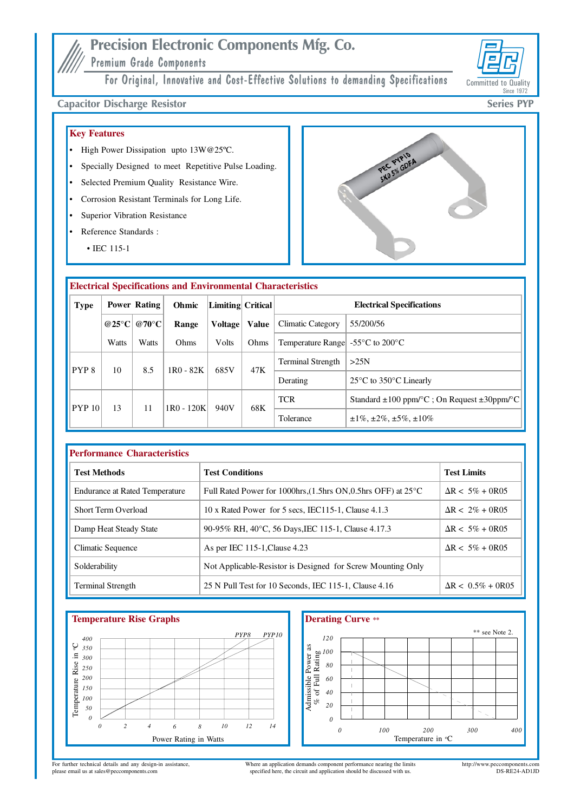# **Precision Electronic Components Mfg. Co.**

Premium Grade Components

For Original, Innovative and Cost-Effective Solutions to demanding Specifications



## **Capacitor Discharge Resistor**

## **Key Features**

- High Power Dissipation upto 13W@25°C.
- Specially Designed to meet Repetitive Pulse Loading.
- Selected Premium Quality Resistance Wire.
- Corrosion Resistant Terminals for Long Life.
- Superior Vibration Resistance
- Reference Standards:  $\bullet$ 
	- $\cdot$  IEC 115-1



| <b>Electrical Specifications and Environmental Characteristics</b> |                       |                  |                   |                |                                  |                                                       |                                                        |  |
|--------------------------------------------------------------------|-----------------------|------------------|-------------------|----------------|----------------------------------|-------------------------------------------------------|--------------------------------------------------------|--|
| <b>Type</b>                                                        | Power Rating<br>Ohmic |                  | Limiting Critical |                | <b>Electrical Specifications</b> |                                                       |                                                        |  |
|                                                                    | @25 $\rm{^{\circ}C}$  | @70 $^{\circ}$ C | Range             | <b>Voltage</b> | Value                            | Climatic Category                                     | 55/200/56                                              |  |
|                                                                    | Watts                 | Watts            | Ohms              | Volts          | Ohms                             | Temperature Range $-55^{\circ}$ C to 200 $^{\circ}$ C |                                                        |  |
| PYP <sub>8</sub>                                                   | 10                    | 8.5              | $1R0 - 82K$       | 685V           | 47K                              | <b>Terminal Strength</b>                              | >25N                                                   |  |
|                                                                    |                       |                  |                   |                |                                  | Derating                                              | $25^{\circ}$ C to 350 $^{\circ}$ C Linearly            |  |
| PYP10                                                              | 13                    | 11               | 1R0 - 120K        | 940V           | 68K                              | <b>TCR</b>                                            | Standard $\pm 100$ ppm/°C ; On Request $\pm 30$ ppm/°C |  |
|                                                                    |                       |                  |                   |                |                                  | Tolerance                                             | $\pm 1\%$ , $\pm 2\%$ , $\pm 5\%$ , $\pm 10\%$         |  |

| <b>Performance Characteristics</b>    |                                                                                              |                           |  |  |  |  |  |
|---------------------------------------|----------------------------------------------------------------------------------------------|---------------------------|--|--|--|--|--|
| <b>Test Methods</b>                   | <b>Test Conditions</b>                                                                       | <b>Test Limits</b>        |  |  |  |  |  |
| <b>Endurance at Rated Temperature</b> | Full Rated Power for 1000hrs, $(1.5\text{hrs ON}.0.5\text{hrs OFF})$ at $25^{\circ}\text{C}$ | $\Delta R < 5\% + 0R05$   |  |  |  |  |  |
| <b>Short Term Overload</b>            | 10 x Rated Power for 5 secs, IEC115-1, Clause 4.1.3                                          | $\Delta R < 2\% + 0R05$   |  |  |  |  |  |
| Damp Heat Steady State                | 90-95% RH, 40°C, 56 Days, IEC 115-1, Clause 4.17.3                                           | $\Delta R < 5\% + 0R05$   |  |  |  |  |  |
| Climatic Sequence                     | As per IEC 115-1, Clause 4.23                                                                | $\Delta R < 5\% + 0R05$   |  |  |  |  |  |
| Solderability                         | Not Applicable-Resistor is Designed for Screw Mounting Only                                  |                           |  |  |  |  |  |
| <b>Terminal Strength</b>              | 25 N Pull Test for 10 Seconds, IEC 115-1, Clause 4.16                                        | $\Delta R < 0.5\% + 0R05$ |  |  |  |  |  |



## **Derating Curve \*\*** \*\* see Note 2. 120  $\begin{array}{rcl} \mbox{Admissible Power as}\\ \mbox{\footnotesize \begin{array}{r} \text{as} \\ \text{A}} & \text{A} \\ \text{B} & \text{B} \end{array}} & \mbox{A} \\ \mbox{B} & \mbox{B} \\ \mbox{C} & \text{B} \\ \mbox{A} & \text{B} \\ \mbox{C} & \text{A} \end{array}} & \mbox{A} \\ \mbox{C} & \mbox{A} \\ \mbox{D} & \mbox{A} \\ \mbox{A} & \mbox{A} \\ \mbox{A} & \mbox{A} \\ \mbox{A} & \mbox{A} \\ \mbox{A} & \m$  $\theta$  $\boldsymbol{\mathit{0}}$ 100 200 300 400 Temperature in °C

For further technical details and any design-in assistance,<br>please email us at sales@peccomponents.com

Where an application demands component performance nearing the limits specified here, the circuit and application should be discussed with us.